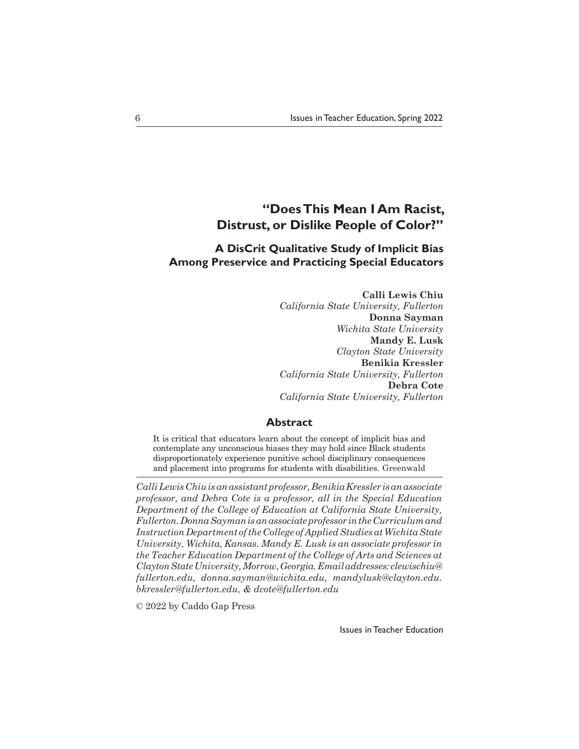# **"Does This Mean I Am Racist, Distrust, or Dislike People of Color?"**

## **A DisCrit Qualitative Study of Implicit Bias Among Preservice and Practicing Special Educators**

**Calli Lewis Chiu** *California State University, Fullerton* **Donna Sayman** *Wichita State University* **Mandy E. Lusk** *Clayton State University* **Benikia Kressler** *California State University, Fullerton* **Debra Cote** *California State University, Fullerton*

## **Abstract**

It is critical that educators learn about the concept of implicit bias and contemplate any unconscious biases they may hold since Black students disproportionately experience punitive school disciplinary consequences and placement into programs for students with disabilities. Greenwald

*Calli Lewis Chiu is an assistant professor, Benikia Kressler is an associate professor, and Debra Cote is a professor, all in the Special Education Department of the College of Education at California State University, Fullerton. Donna Sayman is an associate professor in the Curriculum and Instruction Department of the College of Applied Studies at Wichita State University, Wichita, Kansas. Mandy E. Lusk is an associate professor in the Teacher Education Department of the College of Arts and Sciences at Clayton State University, Morrow, Georgia. Email addresses: clewischiu@ fullerton.edu, donna.sayman@wichita.edu, mandylusk@clayton.edu. bkressler@fullerton.edu, & dcote@fullerton.edu*

© 2022 by Caddo Gap Press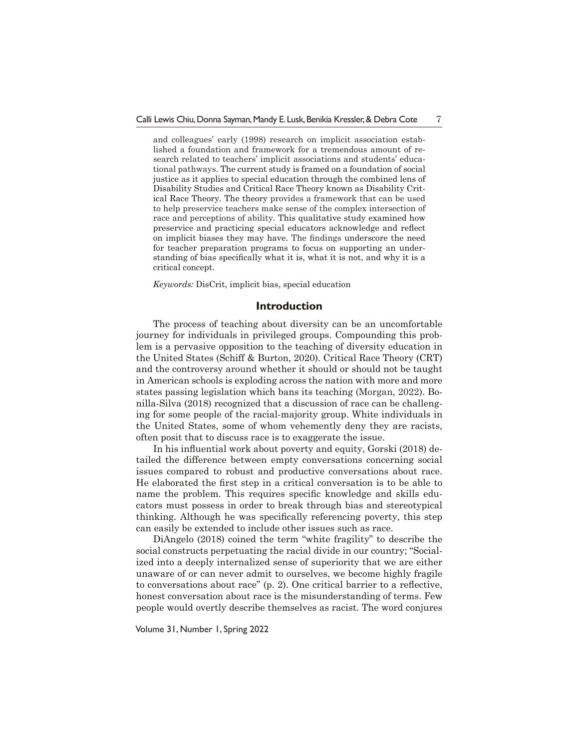and colleagues' early (1998) research on implicit association established a foundation and framework for a tremendous amount of research related to teachers' implicit associations and students' educational pathways. The current study is framed on a foundation of social justice as it applies to special education through the combined lens of Disability Studies and Critical Race Theory known as Disability Critical Race Theory. The theory provides a framework that can be used to help preservice teachers make sense of the complex intersection of race and perceptions of ability. This qualitative study examined how preservice and practicing special educators acknowledge and reflect on implicit biases they may have. The findings underscore the need for teacher preparation programs to focus on supporting an understanding of bias specifically what it is, what it is not, and why it is a critical concept.

*Keywords:* DisCrit, implicit bias, special education

## **Introduction**

The process of teaching about diversity can be an uncomfortable journey for individuals in privileged groups. Compounding this problem is a pervasive opposition to the teaching of diversity education in the United States (Schiff & Burton, 2020). Critical Race Theory (CRT) and the controversy around whether it should or should not be taught in American schools is exploding across the nation with more and more states passing legislation which bans its teaching (Morgan, 2022). Bonilla-Silva (2018) recognized that a discussion of race can be challenging for some people of the racial-majority group. White individuals in the United States, some of whom vehemently deny they are racists, often posit that to discuss race is to exaggerate the issue.

In his influential work about poverty and equity, Gorski (2018) detailed the difference between empty conversations concerning social issues compared to robust and productive conversations about race. He elaborated the first step in a critical conversation is to be able to name the problem. This requires specific knowledge and skills educators must possess in order to break through bias and stereotypical thinking. Although he was specifically referencing poverty, this step can easily be extended to include other issues such as race.

DiAngelo (2018) coined the term "white fragility" to describe the social constructs perpetuating the racial divide in our country; "Socialized into a deeply internalized sense of superiority that we are either unaware of or can never admit to ourselves, we become highly fragile to conversations about race" (p. 2). One critical barrier to a reflective, honest conversation about race is the misunderstanding of terms. Few people would overtly describe themselves as racist. The word conjures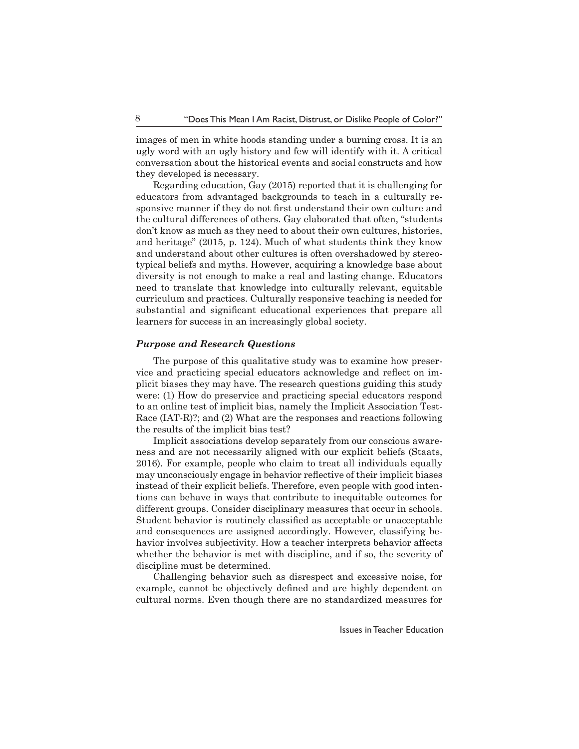images of men in white hoods standing under a burning cross. It is an ugly word with an ugly history and few will identify with it. A critical conversation about the historical events and social constructs and how they developed is necessary.

Regarding education, Gay (2015) reported that it is challenging for educators from advantaged backgrounds to teach in a culturally responsive manner if they do not first understand their own culture and the cultural differences of others. Gay elaborated that often, "students don't know as much as they need to about their own cultures, histories, and heritage" (2015, p. 124). Much of what students think they know and understand about other cultures is often overshadowed by stereotypical beliefs and myths. However, acquiring a knowledge base about diversity is not enough to make a real and lasting change. Educators need to translate that knowledge into culturally relevant, equitable curriculum and practices. Culturally responsive teaching is needed for substantial and significant educational experiences that prepare all learners for success in an increasingly global society.

#### *Purpose and Research Questions*

The purpose of this qualitative study was to examine how preservice and practicing special educators acknowledge and reflect on implicit biases they may have. The research questions guiding this study were: (1) How do preservice and practicing special educators respond to an online test of implicit bias, namely the Implicit Association Test-Race (IAT-R)?; and (2) What are the responses and reactions following the results of the implicit bias test?

Implicit associations develop separately from our conscious awareness and are not necessarily aligned with our explicit beliefs (Staats, 2016). For example, people who claim to treat all individuals equally may unconsciously engage in behavior reflective of their implicit biases instead of their explicit beliefs. Therefore, even people with good intentions can behave in ways that contribute to inequitable outcomes for different groups. Consider disciplinary measures that occur in schools. Student behavior is routinely classified as acceptable or unacceptable and consequences are assigned accordingly. However, classifying behavior involves subjectivity. How a teacher interprets behavior affects whether the behavior is met with discipline, and if so, the severity of discipline must be determined.

Challenging behavior such as disrespect and excessive noise, for example, cannot be objectively defined and are highly dependent on cultural norms. Even though there are no standardized measures for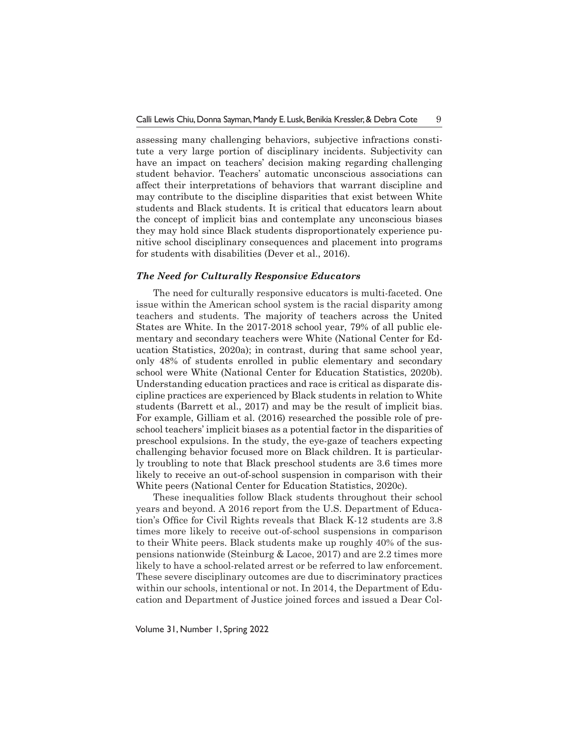assessing many challenging behaviors, subjective infractions constitute a very large portion of disciplinary incidents. Subjectivity can have an impact on teachers' decision making regarding challenging student behavior. Teachers' automatic unconscious associations can affect their interpretations of behaviors that warrant discipline and may contribute to the discipline disparities that exist between White students and Black students. It is critical that educators learn about the concept of implicit bias and contemplate any unconscious biases they may hold since Black students disproportionately experience punitive school disciplinary consequences and placement into programs for students with disabilities (Dever et al., 2016).

#### *The Need for Culturally Responsive Educators*

The need for culturally responsive educators is multi-faceted. One issue within the American school system is the racial disparity among teachers and students. The majority of teachers across the United States are White. In the 2017-2018 school year, 79% of all public elementary and secondary teachers were White (National Center for Education Statistics, 2020a); in contrast, during that same school year, only 48% of students enrolled in public elementary and secondary school were White (National Center for Education Statistics, 2020b). Understanding education practices and race is critical as disparate discipline practices are experienced by Black students in relation to White students (Barrett et al., 2017) and may be the result of implicit bias. For example, Gilliam et al. (2016) researched the possible role of preschool teachers' implicit biases as a potential factor in the disparities of preschool expulsions. In the study, the eye-gaze of teachers expecting challenging behavior focused more on Black children. It is particularly troubling to note that Black preschool students are 3.6 times more likely to receive an out-of-school suspension in comparison with their White peers (National Center for Education Statistics, 2020c).

These inequalities follow Black students throughout their school years and beyond. A 2016 report from the U.S. Department of Education's Office for Civil Rights reveals that Black K-12 students are 3.8 times more likely to receive out-of-school suspensions in comparison to their White peers. Black students make up roughly 40% of the suspensions nationwide (Steinburg & Lacoe, 2017) and are 2.2 times more likely to have a school-related arrest or be referred to law enforcement. These severe disciplinary outcomes are due to discriminatory practices within our schools, intentional or not. In 2014, the Department of Education and Department of Justice joined forces and issued a Dear Col-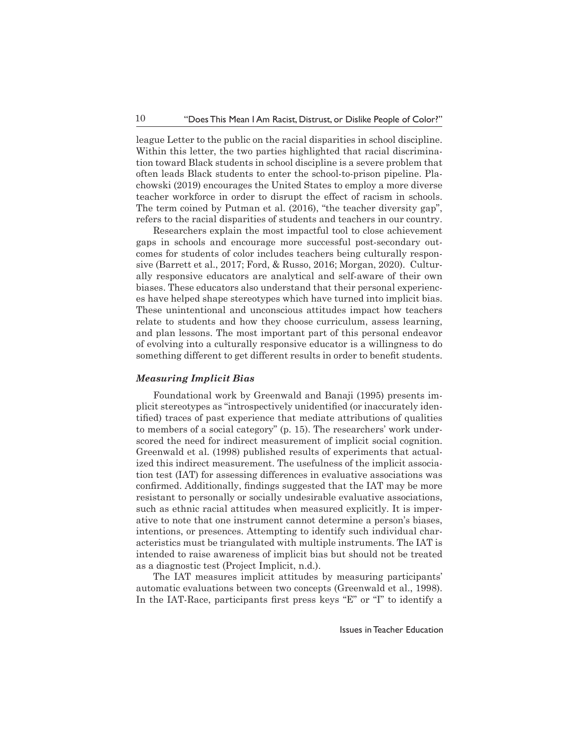league Letter to the public on the racial disparities in school discipline. Within this letter, the two parties highlighted that racial discrimination toward Black students in school discipline is a severe problem that often leads Black students to enter the school-to-prison pipeline. Plachowski (2019) encourages the United States to employ a more diverse teacher workforce in order to disrupt the effect of racism in schools. The term coined by Putman et al. (2016), "the teacher diversity gap", refers to the racial disparities of students and teachers in our country.

Researchers explain the most impactful tool to close achievement gaps in schools and encourage more successful post-secondary outcomes for students of color includes teachers being culturally responsive (Barrett et al., 2017; Ford, & Russo, 2016; Morgan, 2020). Culturally responsive educators are analytical and self-aware of their own biases. These educators also understand that their personal experiences have helped shape stereotypes which have turned into implicit bias. These unintentional and unconscious attitudes impact how teachers relate to students and how they choose curriculum, assess learning, and plan lessons. The most important part of this personal endeavor of evolving into a culturally responsive educator is a willingness to do something different to get different results in order to benefit students.

#### *Measuring Implicit Bias*

Foundational work by Greenwald and Banaji (1995) presents implicit stereotypes as "introspectively unidentified (or inaccurately identified) traces of past experience that mediate attributions of qualities to members of a social category" (p. 15). The researchers' work underscored the need for indirect measurement of implicit social cognition. Greenwald et al. (1998) published results of experiments that actualized this indirect measurement. The usefulness of the implicit association test (IAT) for assessing differences in evaluative associations was confirmed. Additionally, findings suggested that the IAT may be more resistant to personally or socially undesirable evaluative associations, such as ethnic racial attitudes when measured explicitly. It is imperative to note that one instrument cannot determine a person's biases, intentions, or presences. Attempting to identify such individual characteristics must be triangulated with multiple instruments. The IAT is intended to raise awareness of implicit bias but should not be treated as a diagnostic test (Project Implicit, n.d.).

The IAT measures implicit attitudes by measuring participants' automatic evaluations between two concepts (Greenwald et al., 1998). In the IAT-Race, participants first press keys "E" or "I" to identify a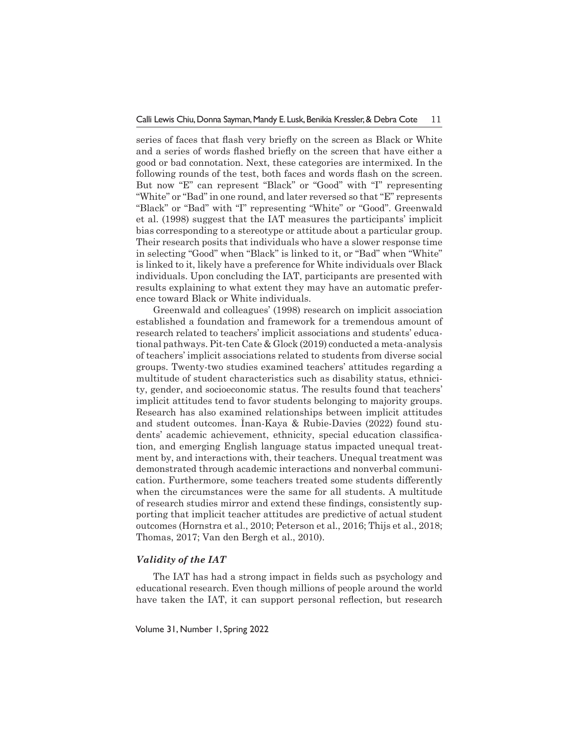series of faces that flash very briefly on the screen as Black or White and a series of words flashed briefly on the screen that have either a good or bad connotation. Next, these categories are intermixed. In the following rounds of the test, both faces and words flash on the screen. But now "E" can represent "Black" or "Good" with "I" representing "White" or "Bad" in one round, and later reversed so that "E" represents "Black" or "Bad" with "I" representing "White" or "Good". Greenwald et al. (1998) suggest that the IAT measures the participants' implicit bias corresponding to a stereotype or attitude about a particular group. Their research posits that individuals who have a slower response time in selecting "Good" when "Black" is linked to it, or "Bad" when "White" is linked to it, likely have a preference for White individuals over Black individuals. Upon concluding the IAT, participants are presented with results explaining to what extent they may have an automatic preference toward Black or White individuals.

Greenwald and colleagues' (1998) research on implicit association established a foundation and framework for a tremendous amount of research related to teachers' implicit associations and students' educational pathways. Pit-ten Cate & Glock (2019) conducted a meta-analysis of teachers' implicit associations related to students from diverse social groups. Twenty-two studies examined teachers' attitudes regarding a multitude of student characteristics such as disability status, ethnicity, gender, and socioeconomic status. The results found that teachers' implicit attitudes tend to favor students belonging to majority groups. Research has also examined relationships between implicit attitudes and student outcomes. İnan-Kaya & Rubie-Davies (2022) found students' academic achievement, ethnicity, special education classification, and emerging English language status impacted unequal treatment by, and interactions with, their teachers. Unequal treatment was demonstrated through academic interactions and nonverbal communication. Furthermore, some teachers treated some students differently when the circumstances were the same for all students. A multitude of research studies mirror and extend these findings, consistently supporting that implicit teacher attitudes are predictive of actual student outcomes (Hornstra et al., 2010; Peterson et al., 2016; Thijs et al., 2018; Thomas, 2017; Van den Bergh et al., 2010).

#### *Validity of the IAT*

The IAT has had a strong impact in fields such as psychology and educational research. Even though millions of people around the world have taken the IAT, it can support personal reflection, but research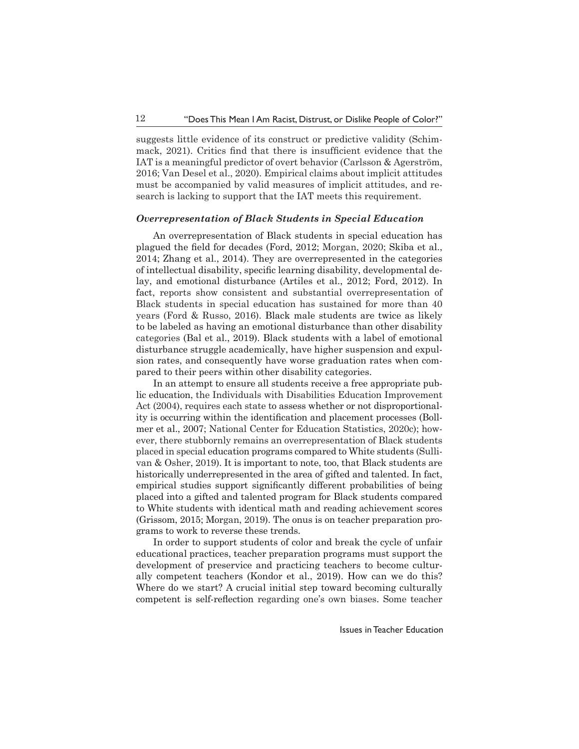suggests little evidence of its construct or predictive validity (Schimmack, 2021). Critics find that there is insufficient evidence that the IAT is a meaningful predictor of overt behavior (Carlsson & Agerström, 2016; Van Desel et al., 2020). Empirical claims about implicit attitudes must be accompanied by valid measures of implicit attitudes, and research is lacking to support that the IAT meets this requirement.

#### *Overrepresentation of Black Students in Special Education*

An overrepresentation of Black students in special education has plagued the field for decades (Ford, 2012; Morgan, 2020; Skiba et al., 2014; Zhang et al., 2014). They are overrepresented in the categories of intellectual disability, specific learning disability, developmental delay, and emotional disturbance (Artiles et al., 2012; Ford, 2012). In fact, reports show consistent and substantial overrepresentation of Black students in special education has sustained for more than 40 years (Ford & Russo, 2016). Black male students are twice as likely to be labeled as having an emotional disturbance than other disability categories (Bal et al., 2019). Black students with a label of emotional disturbance struggle academically, have higher suspension and expulsion rates, and consequently have worse graduation rates when compared to their peers within other disability categories.

In an attempt to ensure all students receive a free appropriate public education, the Individuals with Disabilities Education Improvement Act (2004), requires each state to assess whether or not disproportionality is occurring within the identification and placement processes (Bollmer et al., 2007; National Center for Education Statistics, 2020c); however, there stubbornly remains an overrepresentation of Black students placed in special education programs compared to White students (Sullivan & Osher, 2019). It is important to note, too, that Black students are historically underrepresented in the area of gifted and talented. In fact, empirical studies support significantly different probabilities of being placed into a gifted and talented program for Black students compared to White students with identical math and reading achievement scores (Grissom, 2015; Morgan, 2019). The onus is on teacher preparation programs to work to reverse these trends.

In order to support students of color and break the cycle of unfair educational practices, teacher preparation programs must support the development of preservice and practicing teachers to become culturally competent teachers (Kondor et al., 2019). How can we do this? Where do we start? A crucial initial step toward becoming culturally competent is self-reflection regarding one's own biases. Some teacher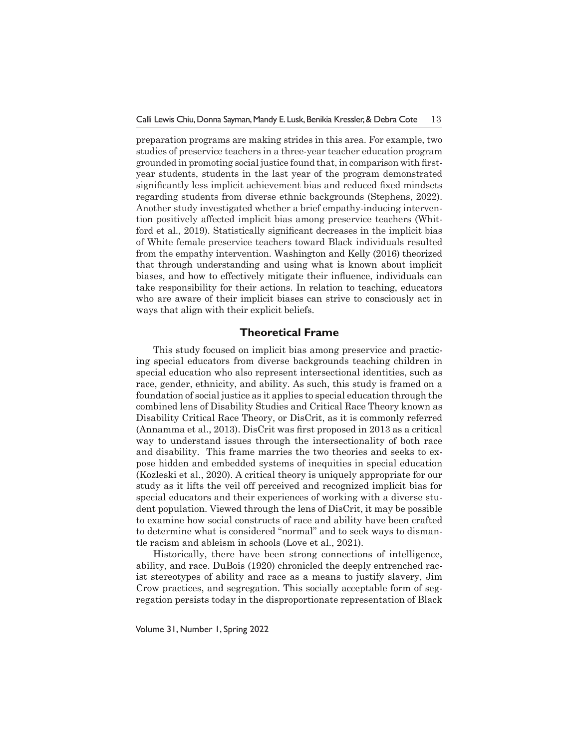preparation programs are making strides in this area. For example, two studies of preservice teachers in a three-year teacher education program grounded in promoting social justice found that, in comparison with firstyear students, students in the last year of the program demonstrated significantly less implicit achievement bias and reduced fixed mindsets regarding students from diverse ethnic backgrounds (Stephens, 2022). Another study investigated whether a brief empathy-inducing intervention positively affected implicit bias among preservice teachers (Whitford et al., 2019). Statistically significant decreases in the implicit bias of White female preservice teachers toward Black individuals resulted from the empathy intervention. Washington and Kelly (2016) theorized that through understanding and using what is known about implicit biases, and how to effectively mitigate their influence, individuals can take responsibility for their actions. In relation to teaching, educators who are aware of their implicit biases can strive to consciously act in ways that align with their explicit beliefs.

## **Theoretical Frame**

This study focused on implicit bias among preservice and practicing special educators from diverse backgrounds teaching children in special education who also represent intersectional identities, such as race, gender, ethnicity, and ability. As such, this study is framed on a foundation of social justice as it applies to special education through the combined lens of Disability Studies and Critical Race Theory known as Disability Critical Race Theory, or DisCrit, as it is commonly referred (Annamma et al., 2013). DisCrit was first proposed in 2013 as a critical way to understand issues through the intersectionality of both race and disability. This frame marries the two theories and seeks to expose hidden and embedded systems of inequities in special education (Kozleski et al., 2020). A critical theory is uniquely appropriate for our study as it lifts the veil off perceived and recognized implicit bias for special educators and their experiences of working with a diverse student population. Viewed through the lens of DisCrit, it may be possible to examine how social constructs of race and ability have been crafted to determine what is considered "normal" and to seek ways to dismantle racism and ableism in schools (Love et al., 2021).

Historically, there have been strong connections of intelligence, ability, and race. DuBois (1920) chronicled the deeply entrenched racist stereotypes of ability and race as a means to justify slavery, Jim Crow practices, and segregation. This socially acceptable form of segregation persists today in the disproportionate representation of Black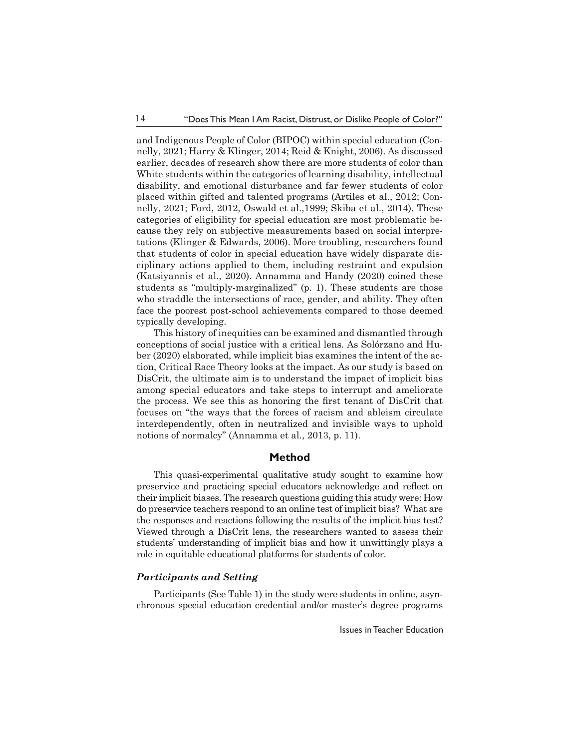and Indigenous People of Color (BIPOC) within special education (Connelly, 2021; Harry & Klinger, 2014; Reid & Knight, 2006). As discussed earlier, decades of research show there are more students of color than White students within the categories of learning disability, intellectual disability, and emotional disturbance and far fewer students of color placed within gifted and talented programs (Artiles et al., 2012; Connelly, 2021; Ford, 2012, Oswald et al.,1999; Skiba et al., 2014). These categories of eligibility for special education are most problematic because they rely on subjective measurements based on social interpretations (Klinger & Edwards, 2006). More troubling, researchers found that students of color in special education have widely disparate disciplinary actions applied to them, including restraint and expulsion (Katsiyannis et al., 2020). Annamma and Handy (2020) coined these students as "multiply-marginalized" (p. 1). These students are those who straddle the intersections of race, gender, and ability. They often face the poorest post-school achievements compared to those deemed typically developing.

This history of inequities can be examined and dismantled through conceptions of social justice with a critical lens. As Solórzano and Huber (2020) elaborated, while implicit bias examines the intent of the action, Critical Race Theory looks at the impact. As our study is based on DisCrit, the ultimate aim is to understand the impact of implicit bias among special educators and take steps to interrupt and ameliorate the process. We see this as honoring the first tenant of DisCrit that focuses on "the ways that the forces of racism and ableism circulate interdependently, often in neutralized and invisible ways to uphold notions of normalcy" (Annamma et al., 2013, p. 11).

## **Method**

This quasi-experimental qualitative study sought to examine how preservice and practicing special educators acknowledge and reflect on their implicit biases. The research questions guiding this study were: How do preservice teachers respond to an online test of implicit bias? What are the responses and reactions following the results of the implicit bias test? Viewed through a DisCrit lens, the researchers wanted to assess their students' understanding of implicit bias and how it unwittingly plays a role in equitable educational platforms for students of color.

## *Participants and Setting*

Participants (See Table 1) in the study were students in online, asynchronous special education credential and/or master's degree programs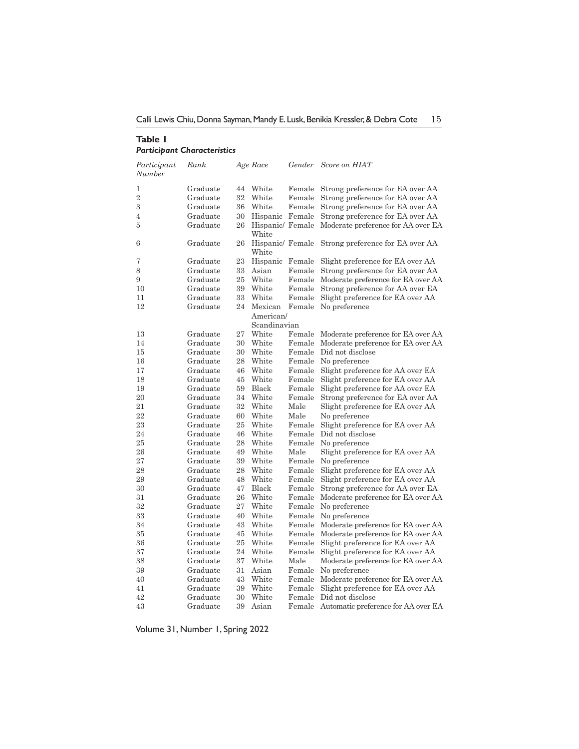Calli Lewis Chiu, Donna Sayman, Mandy E. Lusk, Benikia Kressler, & Debra Cote 15

## **Table 1** *Participant Characteristics*

| Participant<br>Number | Rank     |    | Age Race     | Gender | Score on HIAT                                      |
|-----------------------|----------|----|--------------|--------|----------------------------------------------------|
| 1                     | Graduate | 44 | White        |        | Female Strong preference for EA over AA            |
| $\overline{2}$        | Graduate | 32 | White        | Female | Strong preference for EA over AA                   |
| 3                     | Graduate | 36 | White        |        | Female Strong preference for EA over AA            |
| 4                     | Graduate | 30 |              |        | Hispanic Female Strong preference for EA over AA   |
| 5                     | Graduate | 26 | White        |        | Hispanic/Female Moderate preference for AA over EA |
| 6                     | Graduate | 26 | White        |        | Hispanic/Female Strong preference for EA over AA   |
| 7                     | Graduate | 23 |              |        | Hispanic Female Slight preference for EA over AA   |
| 8                     | Graduate | 33 | Asian        | Female | Strong preference for EA over AA                   |
| 9                     | Graduate | 25 | White        |        | Female Moderate preference for EA over AA          |
| 10                    | Graduate | 39 | White        | Female | Strong preference for AA over EA                   |
| 11                    | Graduate | 33 | White        | Female | Slight preference for EA over AA                   |
| 12                    | Graduate | 24 | Mexican      | Female | No preference                                      |
|                       |          |    | American/    |        |                                                    |
|                       |          |    | Scandinavian |        |                                                    |
| 13                    | Graduate | 27 | White        | Female | Moderate preference for EA over AA                 |
| 14                    | Graduate | 30 | White        | Female | Moderate preference for EA over AA                 |
| 15                    | Graduate | 30 | White        | Female | Did not disclose                                   |
| 16                    | Graduate | 28 | White        | Female | No preference                                      |
| 17                    | Graduate | 46 | White        |        | Female Slight preference for AA over EA            |
| 18                    | Graduate | 45 | White        |        | Female Slight preference for EA over AA            |
| 19                    | Graduate | 59 | Black        |        | Female Slight preference for AA over EA            |
| 20                    | Graduate | 34 | White        | Female | Strong preference for EA over AA                   |
| 21                    | Graduate | 32 | White        | Male   | Slight preference for EA over AA                   |
| 22                    | Graduate | 60 | White        | Male   | No preference                                      |
| 23                    | Graduate | 25 | White        |        | Female Slight preference for EA over AA            |
| 24                    | Graduate | 46 | White        | Female | Did not disclose                                   |
| 25                    | Graduate | 28 | White        |        | Female No preference                               |
| 26                    | Graduate | 49 | White        | Male   | Slight preference for EA over AA                   |
| 27                    | Graduate | 39 | White        | Female | No preference                                      |
| 28                    | Graduate | 28 | White        | Female | Slight preference for EA over AA                   |
| 29                    | Graduate | 48 | White        |        | Female Slight preference for EA over AA            |
| 30                    | Graduate | 47 | Black        |        | Female Strong preference for AA over EA            |
| 31                    | Graduate | 26 | White        | Female | Moderate preference for EA over AA                 |
| 32                    | Graduate | 27 | White        | Female | No preference                                      |
| 33                    | Graduate | 40 | White        | Female | No preference                                      |
| 34                    | Graduate | 43 | White        |        | Female Moderate preference for EA over AA          |
| 35                    | Graduate | 45 | White        |        | Female Moderate preference for EA over AA          |
| 36                    | Graduate | 25 | White        |        | Female Slight preference for EA over AA            |
| 37                    | Graduate | 24 | White        |        | Female Slight preference for EA over AA            |
| 38                    | Graduate | 37 | White        | Male   | Moderate preference for EA over AA                 |
| 39                    | Graduate | 31 | Asian        |        | Female No preference                               |
| 40                    | Graduate | 43 | White        |        | Female Moderate preference for EA over AA          |
| 41                    | Graduate | 39 | White        |        | Female Slight preference for EA over AA            |
| 42                    | Graduate | 30 | White        | Female | Did not disclose                                   |
| 43                    | Graduate | 39 | Asian        |        | Female Automatic preference for AA over EA         |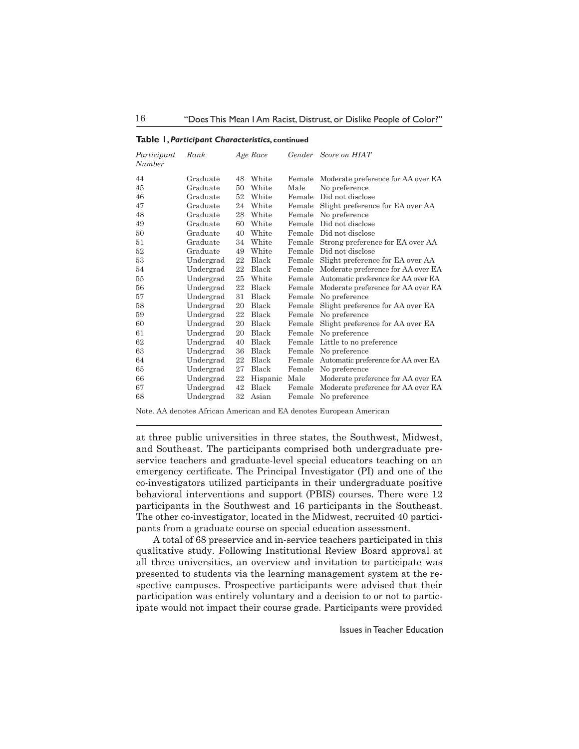|  |  | Table 1, Participant Characteristics, continued |  |
|--|--|-------------------------------------------------|--|
|--|--|-------------------------------------------------|--|

| Participant<br>Number | Rank      |    | Age Race     |        | Gender Score on HIAT                       |
|-----------------------|-----------|----|--------------|--------|--------------------------------------------|
| 44                    | Graduate  | 48 | White        | Female | Moderate preference for AA over EA         |
| 45                    | Graduate  | 50 | White        | Male   | No preference                              |
| 46                    | Graduate  | 52 | White        | Female | Did not disclose                           |
| 47                    | Graduate  | 24 | White        | Female | Slight preference for EA over AA           |
| 48                    | Graduate  | 28 | White        | Female | No preference                              |
| 49                    | Graduate  | 60 | White        | Female | Did not disclose                           |
| 50                    | Graduate  | 40 | White        |        | Female Did not disclose                    |
| 51                    | Graduate  | 34 | White        |        | Female Strong preference for EA over AA    |
| 52                    | Graduate  | 49 | White        | Female | Did not disclose                           |
| 53                    | Undergrad | 22 | Black        | Female | Slight preference for EA over AA           |
| 54                    | Undergrad | 22 | Black        |        | Female Moderate preference for AA over EA  |
| 55                    | Undergrad | 25 | White        |        | Female Automatic preference for AA over EA |
| 56                    | Undergrad | 22 | Black        |        | Female Moderate preference for AA over EA  |
| 57                    | Undergrad | 31 | Black        | Female | No preference                              |
| 58                    | Undergrad | 20 | Black        | Female | Slight preference for AA over EA           |
| 59                    | Undergrad | 22 | <b>Black</b> | Female | No preference                              |
| 60                    | Undergrad | 20 | Black        | Female | Slight preference for AA over EA           |
| 61                    | Undergrad | 20 | Black        | Female | No preference                              |
| 62                    | Undergrad | 40 | Black        | Female | Little to no preference                    |
| 63                    | Undergrad | 36 | Black        |        | Female No preference                       |
| 64                    | Undergrad | 22 | Black        | Female | Automatic preference for AA over EA        |
| 65                    | Undergrad | 27 | <b>Black</b> | Female | No preference                              |
| 66                    | Undergrad | 22 | Hispanic     | Male   | Moderate preference for AA over EA         |
| 67                    | Undergrad | 42 | Black        | Female | Moderate preference for AA over EA         |
| 68                    | Undergrad | 32 | Asian        | Female | No preference                              |

Note. AA denotes African American and EA denotes European American

at three public universities in three states, the Southwest, Midwest, and Southeast. The participants comprised both undergraduate preservice teachers and graduate-level special educators teaching on an emergency certificate. The Principal Investigator (PI) and one of the co-investigators utilized participants in their undergraduate positive behavioral interventions and support (PBIS) courses. There were 12 participants in the Southwest and 16 participants in the Southeast. The other co-investigator, located in the Midwest, recruited 40 participants from a graduate course on special education assessment.

A total of 68 preservice and in-service teachers participated in this qualitative study. Following Institutional Review Board approval at all three universities, an overview and invitation to participate was presented to students via the learning management system at the respective campuses. Prospective participants were advised that their participation was entirely voluntary and a decision to or not to participate would not impact their course grade. Participants were provided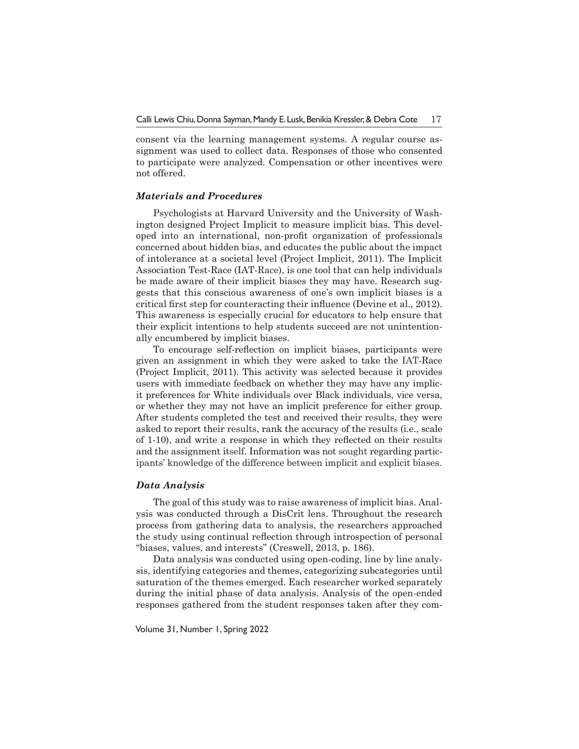consent via the learning management systems. A regular course assignment was used to collect data. Responses of those who consented to participate were analyzed. Compensation or other incentives were not offered.

#### *Materials and Procedures*

Psychologists at Harvard University and the University of Washington designed Project Implicit to measure implicit bias. This developed into an international, non-profit organization of professionals concerned about hidden bias, and educates the public about the impact of intolerance at a societal level (Project Implicit, 2011). The Implicit Association Test-Race (IAT-Race), is one tool that can help individuals be made aware of their implicit biases they may have. Research suggests that this conscious awareness of one's own implicit biases is a critical first step for counteracting their influence (Devine et al., 2012). This awareness is especially crucial for educators to help ensure that their explicit intentions to help students succeed are not unintentionally encumbered by implicit biases.

To encourage self-reflection on implicit biases, participants were given an assignment in which they were asked to take the IAT-Race (Project Implicit, 2011). This activity was selected because it provides users with immediate feedback on whether they may have any implicit preferences for White individuals over Black individuals, vice versa, or whether they may not have an implicit preference for either group. After students completed the test and received their results, they were asked to report their results, rank the accuracy of the results (i.e., scale of 1-10), and write a response in which they reflected on their results and the assignment itself. Information was not sought regarding participants' knowledge of the difference between implicit and explicit biases.

#### *Data Analysis*

The goal of this study was to raise awareness of implicit bias. Analysis was conducted through a DisCrit lens. Throughout the research process from gathering data to analysis, the researchers approached the study using continual reflection through introspection of personal "biases, values, and interests" (Creswell, 2013, p. 186).

Data analysis was conducted using open-coding, line by line analysis, identifying categories and themes, categorizing subcategories until saturation of the themes emerged. Each researcher worked separately during the initial phase of data analysis. Analysis of the open-ended responses gathered from the student responses taken after they com-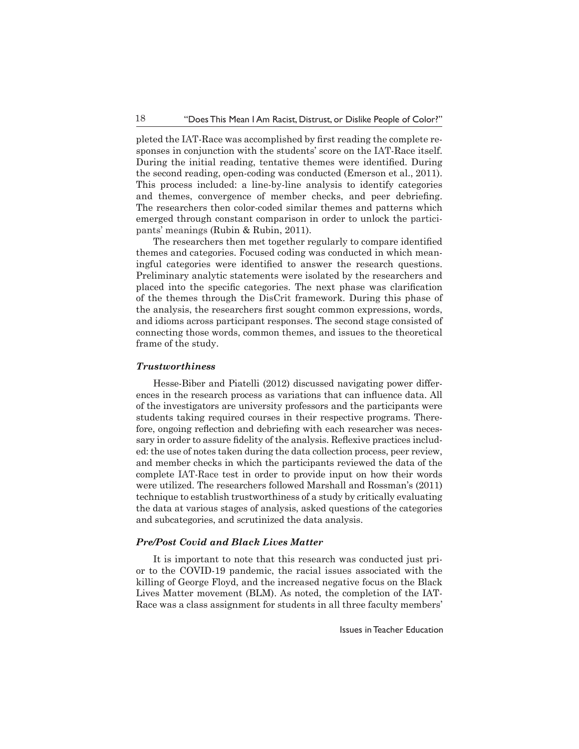pleted the IAT-Race was accomplished by first reading the complete responses in conjunction with the students' score on the IAT-Race itself. During the initial reading, tentative themes were identified. During the second reading, open-coding was conducted (Emerson et al., 2011). This process included: a line-by-line analysis to identify categories and themes, convergence of member checks, and peer debriefing. The researchers then color-coded similar themes and patterns which emerged through constant comparison in order to unlock the participants' meanings (Rubin & Rubin, 2011).

 The researchers then met together regularly to compare identified themes and categories. Focused coding was conducted in which meaningful categories were identified to answer the research questions. Preliminary analytic statements were isolated by the researchers and placed into the specific categories. The next phase was clarification of the themes through the DisCrit framework. During this phase of the analysis, the researchers first sought common expressions, words, and idioms across participant responses. The second stage consisted of connecting those words, common themes, and issues to the theoretical frame of the study.

#### *Trustworthiness*

Hesse-Biber and Piatelli (2012) discussed navigating power differences in the research process as variations that can influence data. All of the investigators are university professors and the participants were students taking required courses in their respective programs. Therefore, ongoing reflection and debriefing with each researcher was necessary in order to assure fidelity of the analysis. Reflexive practices included: the use of notes taken during the data collection process, peer review, and member checks in which the participants reviewed the data of the complete IAT-Race test in order to provide input on how their words were utilized. The researchers followed Marshall and Rossman's (2011) technique to establish trustworthiness of a study by critically evaluating the data at various stages of analysis, asked questions of the categories and subcategories, and scrutinized the data analysis.

#### *Pre/Post Covid and Black Lives Matter*

It is important to note that this research was conducted just prior to the COVID-19 pandemic, the racial issues associated with the killing of George Floyd, and the increased negative focus on the Black Lives Matter movement (BLM). As noted, the completion of the IAT-Race was a class assignment for students in all three faculty members'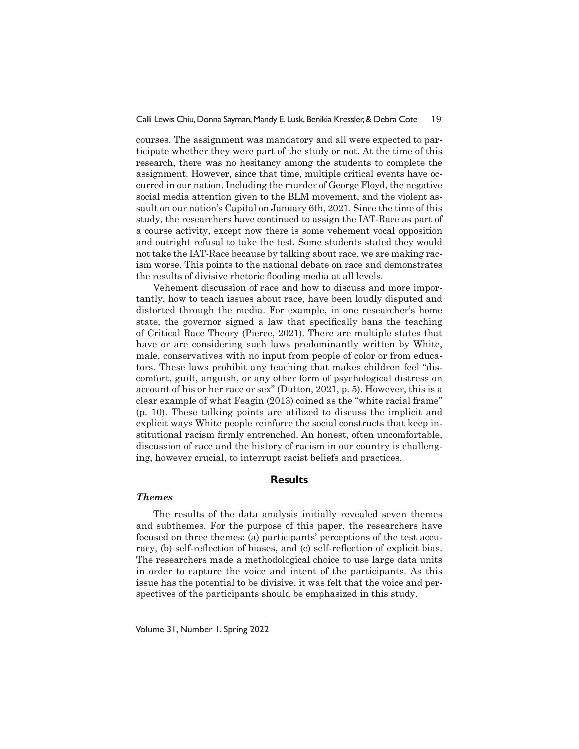courses. The assignment was mandatory and all were expected to participate whether they were part of the study or not. At the time of this research, there was no hesitancy among the students to complete the assignment. However, since that time, multiple critical events have occurred in our nation. Including the murder of George Floyd, the negative social media attention given to the BLM movement, and the violent assault on our nation's Capital on January 6th, 2021. Since the time of this study, the researchers have continued to assign the IAT-Race as part of a course activity, except now there is some vehement vocal opposition and outright refusal to take the test. Some students stated they would not take the IAT-Race because by talking about race, we are making racism worse. This points to the national debate on race and demonstrates the results of divisive rhetoric flooding media at all levels.

Vehement discussion of race and how to discuss and more importantly, how to teach issues about race, have been loudly disputed and distorted through the media. For example, in one researcher's home state, the governor signed a law that specifically bans the teaching of Critical Race Theory (Pierce, 2021). There are multiple states that have or are considering such laws predominantly written by White, male, conservatives with no input from people of color or from educators. These laws prohibit any teaching that makes children feel "discomfort, guilt, anguish, or any other form of psychological distress on account of his or her race or sex" (Dutton, 2021, p. 5). However, this is a clear example of what Feagin (2013) coined as the "white racial frame" (p. 10). These talking points are utilized to discuss the implicit and explicit ways White people reinforce the social constructs that keep institutional racism firmly entrenched. An honest, often uncomfortable, discussion of race and the history of racism in our country is challenging, however crucial, to interrupt racist beliefs and practices.

## **Results**

#### *Themes*

The results of the data analysis initially revealed seven themes and subthemes. For the purpose of this paper, the researchers have focused on three themes: (a) participants' perceptions of the test accuracy, (b) self-reflection of biases, and (c) self-reflection of explicit bias. The researchers made a methodological choice to use large data units in order to capture the voice and intent of the participants. As this issue has the potential to be divisive, it was felt that the voice and perspectives of the participants should be emphasized in this study.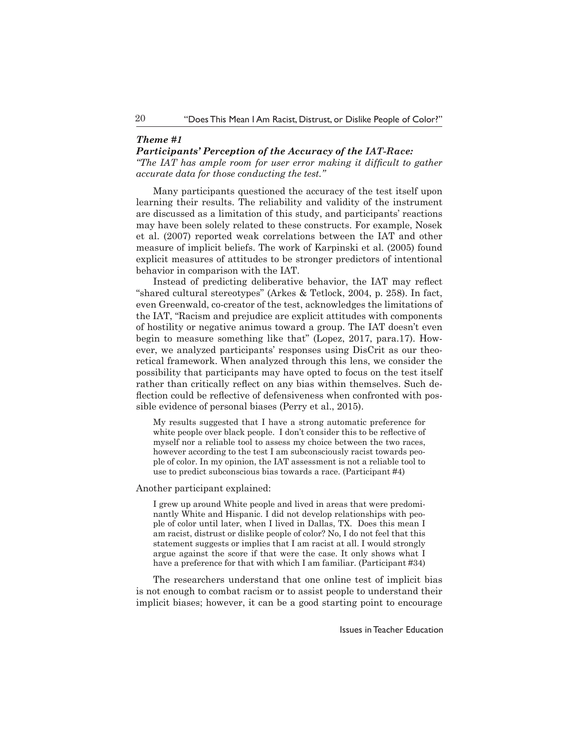## *Theme #1*

#### *Participants' Perception of the Accuracy of the IAT-Race:*

*"The IAT has ample room for user error making it difficult to gather accurate data for those conducting the test."*

Many participants questioned the accuracy of the test itself upon learning their results. The reliability and validity of the instrument are discussed as a limitation of this study, and participants' reactions may have been solely related to these constructs. For example, Nosek et al. (2007) reported weak correlations between the IAT and other measure of implicit beliefs. The work of Karpinski et al. (2005) found explicit measures of attitudes to be stronger predictors of intentional behavior in comparison with the IAT.

Instead of predicting deliberative behavior, the IAT may reflect "shared cultural stereotypes" (Arkes & Tetlock, 2004, p. 258). In fact, even Greenwald, co-creator of the test, acknowledges the limitations of the IAT, "Racism and prejudice are explicit attitudes with components of hostility or negative animus toward a group. The IAT doesn't even begin to measure something like that" (Lopez, 2017, para.17). However, we analyzed participants' responses using DisCrit as our theoretical framework. When analyzed through this lens, we consider the possibility that participants may have opted to focus on the test itself rather than critically reflect on any bias within themselves. Such deflection could be reflective of defensiveness when confronted with possible evidence of personal biases (Perry et al., 2015).

My results suggested that I have a strong automatic preference for white people over black people. I don't consider this to be reflective of myself nor a reliable tool to assess my choice between the two races, however according to the test I am subconsciously racist towards people of color. In my opinion, the IAT assessment is not a reliable tool to use to predict subconscious bias towards a race. (Participant #4)

Another participant explained:

I grew up around White people and lived in areas that were predominantly White and Hispanic. I did not develop relationships with people of color until later, when I lived in Dallas, TX. Does this mean I am racist, distrust or dislike people of color? No, I do not feel that this statement suggests or implies that I am racist at all. I would strongly argue against the score if that were the case. It only shows what I have a preference for that with which I am familiar. (Participant #34)

The researchers understand that one online test of implicit bias is not enough to combat racism or to assist people to understand their implicit biases; however, it can be a good starting point to encourage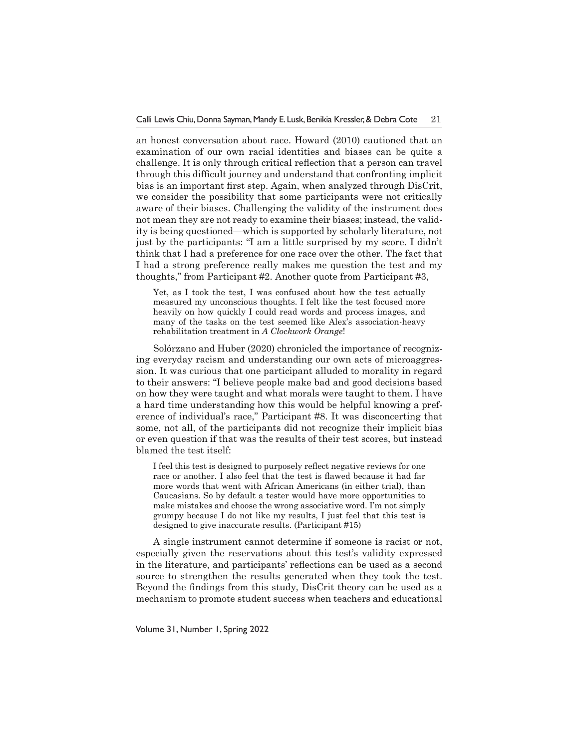an honest conversation about race. Howard (2010) cautioned that an examination of our own racial identities and biases can be quite a challenge. It is only through critical reflection that a person can travel through this difficult journey and understand that confronting implicit bias is an important first step. Again, when analyzed through DisCrit, we consider the possibility that some participants were not critically aware of their biases. Challenging the validity of the instrument does not mean they are not ready to examine their biases; instead, the validity is being questioned—which is supported by scholarly literature, not just by the participants: "I am a little surprised by my score. I didn't think that I had a preference for one race over the other. The fact that I had a strong preference really makes me question the test and my thoughts," from Participant #2. Another quote from Participant #3,

Yet, as I took the test, I was confused about how the test actually measured my unconscious thoughts. I felt like the test focused more heavily on how quickly I could read words and process images, and many of the tasks on the test seemed like Alex's association-heavy rehabilitation treatment in *A Clockwork Orange*!

Solórzano and Huber (2020) chronicled the importance of recognizing everyday racism and understanding our own acts of microaggression. It was curious that one participant alluded to morality in regard to their answers: "I believe people make bad and good decisions based on how they were taught and what morals were taught to them. I have a hard time understanding how this would be helpful knowing a preference of individual's race," Participant #8. It was disconcerting that some, not all, of the participants did not recognize their implicit bias or even question if that was the results of their test scores, but instead blamed the test itself:

I feel this test is designed to purposely reflect negative reviews for one race or another. I also feel that the test is flawed because it had far more words that went with African Americans (in either trial), than Caucasians. So by default a tester would have more opportunities to make mistakes and choose the wrong associative word. I'm not simply grumpy because I do not like my results, I just feel that this test is designed to give inaccurate results. (Participant #15)

A single instrument cannot determine if someone is racist or not, especially given the reservations about this test's validity expressed in the literature, and participants' reflections can be used as a second source to strengthen the results generated when they took the test. Beyond the findings from this study, DisCrit theory can be used as a mechanism to promote student success when teachers and educational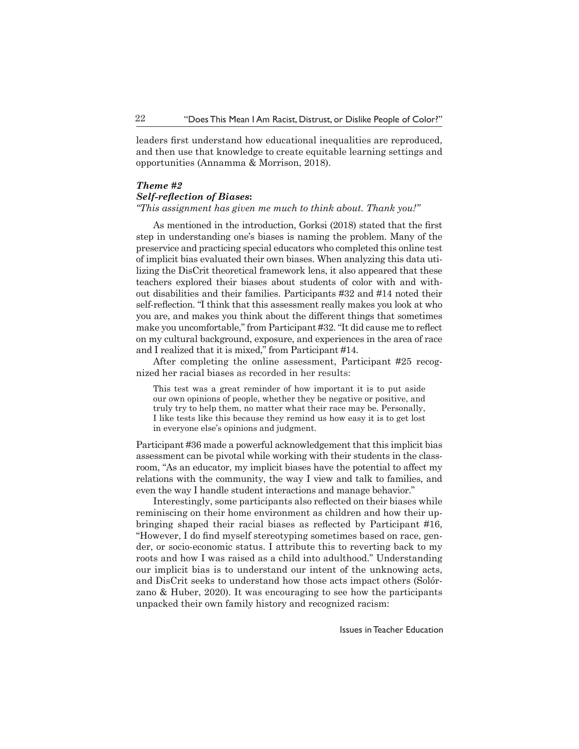leaders first understand how educational inequalities are reproduced, and then use that knowledge to create equitable learning settings and opportunities (Annamma & Morrison, 2018).

#### *Theme #2*

#### *Self-reflection of Biases***:**

*"This assignment has given me much to think about. Thank you!"*

As mentioned in the introduction, Gorksi (2018) stated that the first step in understanding one's biases is naming the problem. Many of the preservice and practicing special educators who completed this online test of implicit bias evaluated their own biases. When analyzing this data utilizing the DisCrit theoretical framework lens, it also appeared that these teachers explored their biases about students of color with and without disabilities and their families. Participants #32 and #14 noted their self-reflection. "I think that this assessment really makes you look at who you are, and makes you think about the different things that sometimes make you uncomfortable," from Participant #32. "It did cause me to reflect on my cultural background, exposure, and experiences in the area of race and I realized that it is mixed," from Participant #14.

After completing the online assessment, Participant #25 recognized her racial biases as recorded in her results:

This test was a great reminder of how important it is to put aside our own opinions of people, whether they be negative or positive, and truly try to help them, no matter what their race may be. Personally, I like tests like this because they remind us how easy it is to get lost in everyone else's opinions and judgment.

Participant #36 made a powerful acknowledgement that this implicit bias assessment can be pivotal while working with their students in the classroom, "As an educator, my implicit biases have the potential to affect my relations with the community, the way I view and talk to families, and even the way I handle student interactions and manage behavior."

Interestingly, some participants also reflected on their biases while reminiscing on their home environment as children and how their upbringing shaped their racial biases as reflected by Participant #16, "However, I do find myself stereotyping sometimes based on race, gender, or socio-economic status. I attribute this to reverting back to my roots and how I was raised as a child into adulthood." Understanding our implicit bias is to understand our intent of the unknowing acts, and DisCrit seeks to understand how those acts impact others (Solórzano & Huber, 2020). It was encouraging to see how the participants unpacked their own family history and recognized racism: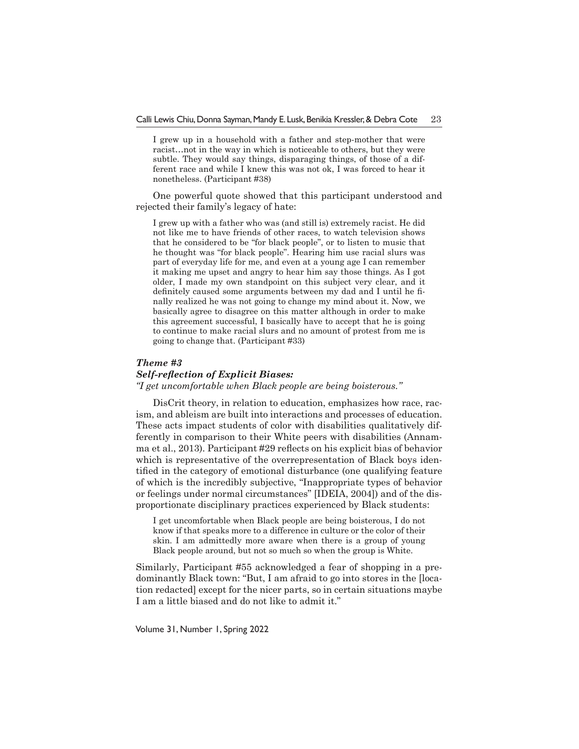I grew up in a household with a father and step-mother that were racist…not in the way in which is noticeable to others, but they were subtle. They would say things, disparaging things, of those of a different race and while I knew this was not ok, I was forced to hear it nonetheless. (Participant #38)

One powerful quote showed that this participant understood and rejected their family's legacy of hate:

I grew up with a father who was (and still is) extremely racist. He did not like me to have friends of other races, to watch television shows that he considered to be "for black people", or to listen to music that he thought was "for black people". Hearing him use racial slurs was part of everyday life for me, and even at a young age I can remember it making me upset and angry to hear him say those things. As I got older, I made my own standpoint on this subject very clear, and it definitely caused some arguments between my dad and I until he finally realized he was not going to change my mind about it. Now, we basically agree to disagree on this matter although in order to make this agreement successful, I basically have to accept that he is going to continue to make racial slurs and no amount of protest from me is going to change that. (Participant #33)

#### *Theme #3*

#### *Self-reflection of Explicit Biases:*

*"I get uncomfortable when Black people are being boisterous."*

DisCrit theory, in relation to education, emphasizes how race, racism, and ableism are built into interactions and processes of education. These acts impact students of color with disabilities qualitatively differently in comparison to their White peers with disabilities (Annamma et al., 2013). Participant #29 reflects on his explicit bias of behavior which is representative of the overrepresentation of Black boys identified in the category of emotional disturbance (one qualifying feature of which is the incredibly subjective, "Inappropriate types of behavior or feelings under normal circumstances" [IDEIA, 2004]) and of the disproportionate disciplinary practices experienced by Black students:

I get uncomfortable when Black people are being boisterous, I do not know if that speaks more to a difference in culture or the color of their skin. I am admittedly more aware when there is a group of young Black people around, but not so much so when the group is White.

Similarly, Participant #55 acknowledged a fear of shopping in a predominantly Black town: "But, I am afraid to go into stores in the [location redacted] except for the nicer parts, so in certain situations maybe I am a little biased and do not like to admit it."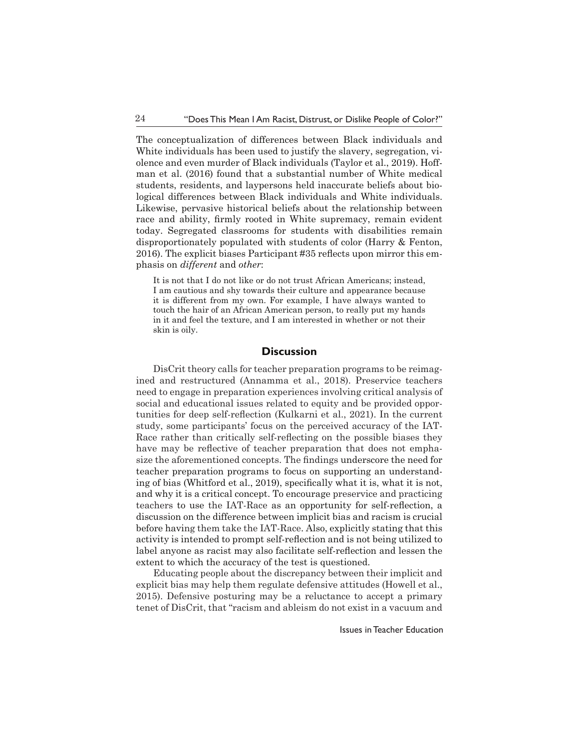The conceptualization of differences between Black individuals and White individuals has been used to justify the slavery, segregation, violence and even murder of Black individuals (Taylor et al., 2019). Hoffman et al. (2016) found that a substantial number of White medical students, residents, and laypersons held inaccurate beliefs about biological differences between Black individuals and White individuals. Likewise, pervasive historical beliefs about the relationship between race and ability, firmly rooted in White supremacy, remain evident today. Segregated classrooms for students with disabilities remain disproportionately populated with students of color (Harry & Fenton, 2016). The explicit biases Participant #35 reflects upon mirror this emphasis on *different* and *other*:

It is not that I do not like or do not trust African Americans; instead, I am cautious and shy towards their culture and appearance because it is different from my own. For example, I have always wanted to touch the hair of an African American person, to really put my hands in it and feel the texture, and I am interested in whether or not their skin is oily.

## **Discussion**

DisCrit theory calls for teacher preparation programs to be reimagined and restructured (Annamma et al., 2018). Preservice teachers need to engage in preparation experiences involving critical analysis of social and educational issues related to equity and be provided opportunities for deep self-reflection (Kulkarni et al., 2021). In the current study, some participants' focus on the perceived accuracy of the IAT-Race rather than critically self-reflecting on the possible biases they have may be reflective of teacher preparation that does not emphasize the aforementioned concepts. The findings underscore the need for teacher preparation programs to focus on supporting an understanding of bias (Whitford et al., 2019), specifically what it is, what it is not, and why it is a critical concept. To encourage preservice and practicing teachers to use the IAT-Race as an opportunity for self-reflection, a discussion on the difference between implicit bias and racism is crucial before having them take the IAT-Race. Also, explicitly stating that this activity is intended to prompt self-reflection and is not being utilized to label anyone as racist may also facilitate self-reflection and lessen the extent to which the accuracy of the test is questioned.

Educating people about the discrepancy between their implicit and explicit bias may help them regulate defensive attitudes (Howell et al., 2015). Defensive posturing may be a reluctance to accept a primary tenet of DisCrit, that "racism and ableism do not exist in a vacuum and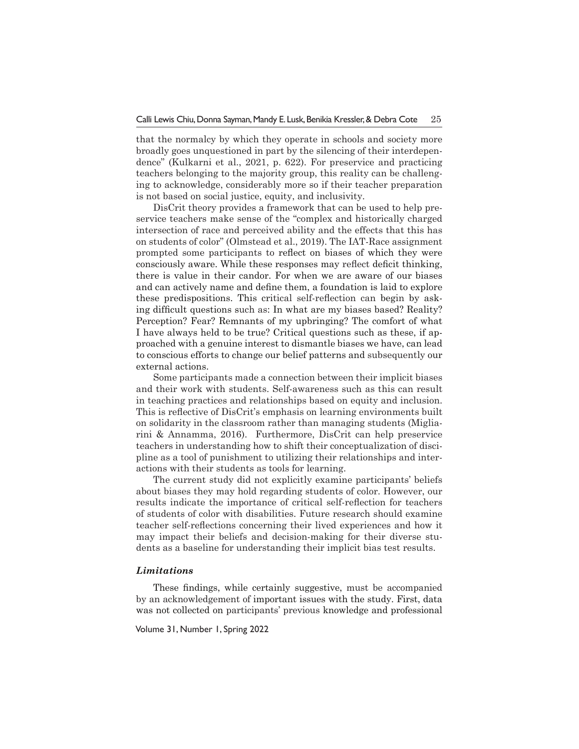that the normalcy by which they operate in schools and society more broadly goes unquestioned in part by the silencing of their interdependence" (Kulkarni et al., 2021, p. 622). For preservice and practicing teachers belonging to the majority group, this reality can be challenging to acknowledge, considerably more so if their teacher preparation is not based on social justice, equity, and inclusivity.

DisCrit theory provides a framework that can be used to help preservice teachers make sense of the "complex and historically charged intersection of race and perceived ability and the effects that this has on students of color" (Olmstead et al., 2019). The IAT-Race assignment prompted some participants to reflect on biases of which they were consciously aware. While these responses may reflect deficit thinking, there is value in their candor. For when we are aware of our biases and can actively name and define them, a foundation is laid to explore these predispositions. This critical self-reflection can begin by asking difficult questions such as: In what are my biases based? Reality? Perception? Fear? Remnants of my upbringing? The comfort of what I have always held to be true? Critical questions such as these, if approached with a genuine interest to dismantle biases we have, can lead to conscious efforts to change our belief patterns and subsequently our external actions.

Some participants made a connection between their implicit biases and their work with students. Self-awareness such as this can result in teaching practices and relationships based on equity and inclusion. This is reflective of DisCrit's emphasis on learning environments built on solidarity in the classroom rather than managing students (Migliarini & Annamma, 2016). Furthermore, DisCrit can help preservice teachers in understanding how to shift their conceptualization of discipline as a tool of punishment to utilizing their relationships and interactions with their students as tools for learning.

The current study did not explicitly examine participants' beliefs about biases they may hold regarding students of color. However, our results indicate the importance of critical self-reflection for teachers of students of color with disabilities. Future research should examine teacher self-reflections concerning their lived experiences and how it may impact their beliefs and decision-making for their diverse students as a baseline for understanding their implicit bias test results.

#### *Limitations*

These findings, while certainly suggestive, must be accompanied by an acknowledgement of important issues with the study. First, data was not collected on participants' previous knowledge and professional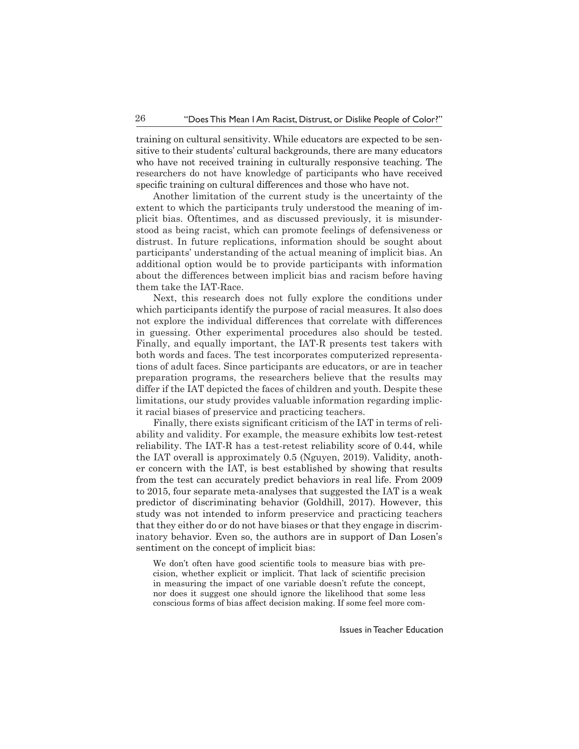training on cultural sensitivity. While educators are expected to be sensitive to their students' cultural backgrounds, there are many educators who have not received training in culturally responsive teaching. The researchers do not have knowledge of participants who have received specific training on cultural differences and those who have not.

Another limitation of the current study is the uncertainty of the extent to which the participants truly understood the meaning of implicit bias. Oftentimes, and as discussed previously, it is misunderstood as being racist, which can promote feelings of defensiveness or distrust. In future replications, information should be sought about participants' understanding of the actual meaning of implicit bias. An additional option would be to provide participants with information about the differences between implicit bias and racism before having them take the IAT-Race.

Next, this research does not fully explore the conditions under which participants identify the purpose of racial measures. It also does not explore the individual differences that correlate with differences in guessing. Other experimental procedures also should be tested. Finally, and equally important, the IAT-R presents test takers with both words and faces. The test incorporates computerized representations of adult faces. Since participants are educators, or are in teacher preparation programs, the researchers believe that the results may differ if the IAT depicted the faces of children and youth. Despite these limitations, our study provides valuable information regarding implicit racial biases of preservice and practicing teachers.

Finally, there exists significant criticism of the IAT in terms of reliability and validity. For example, the measure exhibits low test-retest reliability. The IAT-R has a test-retest reliability score of 0.44, while the IAT overall is approximately 0.5 (Nguyen, 2019). Validity, another concern with the IAT, is best established by showing that results from the test can accurately predict behaviors in real life. From 2009 to 2015, four separate meta-analyses that suggested the IAT is a weak predictor of discriminating behavior (Goldhill, 2017). However, this study was not intended to inform preservice and practicing teachers that they either do or do not have biases or that they engage in discriminatory behavior. Even so, the authors are in support of Dan Losen's sentiment on the concept of implicit bias:

We don't often have good scientific tools to measure bias with precision, whether explicit or implicit. That lack of scientific precision in measuring the impact of one variable doesn't refute the concept, nor does it suggest one should ignore the likelihood that some less conscious forms of bias affect decision making. If some feel more com-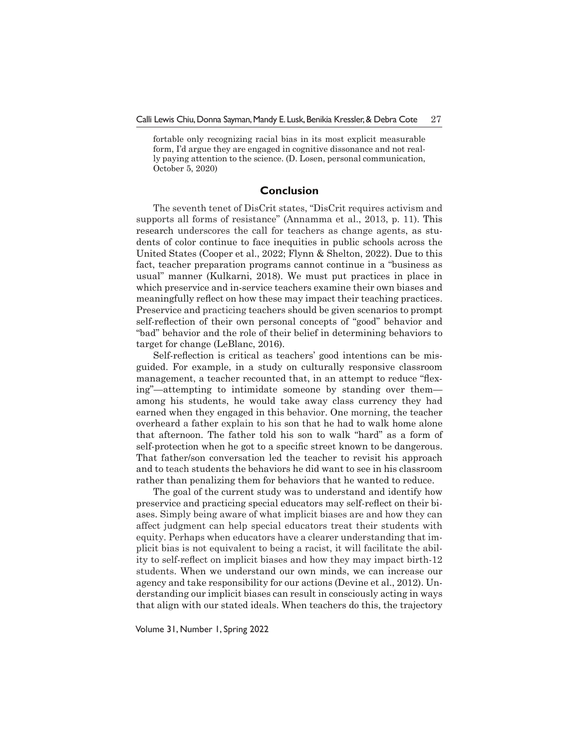fortable only recognizing racial bias in its most explicit measurable form, I'd argue they are engaged in cognitive dissonance and not really paying attention to the science. (D. Losen, personal communication, October 5, 2020)

## **Conclusion**

The seventh tenet of DisCrit states, "DisCrit requires activism and supports all forms of resistance" (Annamma et al., 2013, p. 11). This research underscores the call for teachers as change agents, as students of color continue to face inequities in public schools across the United States (Cooper et al., 2022; Flynn & Shelton, 2022). Due to this fact, teacher preparation programs cannot continue in a "business as usual" manner (Kulkarni, 2018). We must put practices in place in which preservice and in-service teachers examine their own biases and meaningfully reflect on how these may impact their teaching practices. Preservice and practicing teachers should be given scenarios to prompt self-reflection of their own personal concepts of "good" behavior and "bad" behavior and the role of their belief in determining behaviors to target for change (LeBlanc, 2016).

Self-reflection is critical as teachers' good intentions can be misguided. For example, in a study on culturally responsive classroom management, a teacher recounted that, in an attempt to reduce "flexing"—attempting to intimidate someone by standing over them among his students, he would take away class currency they had earned when they engaged in this behavior. One morning, the teacher overheard a father explain to his son that he had to walk home alone that afternoon. The father told his son to walk "hard" as a form of self-protection when he got to a specific street known to be dangerous. That father/son conversation led the teacher to revisit his approach and to teach students the behaviors he did want to see in his classroom rather than penalizing them for behaviors that he wanted to reduce.

The goal of the current study was to understand and identify how preservice and practicing special educators may self-reflect on their biases. Simply being aware of what implicit biases are and how they can affect judgment can help special educators treat their students with equity. Perhaps when educators have a clearer understanding that implicit bias is not equivalent to being a racist, it will facilitate the ability to self-reflect on implicit biases and how they may impact birth-12 students. When we understand our own minds, we can increase our agency and take responsibility for our actions (Devine et al., 2012). Understanding our implicit biases can result in consciously acting in ways that align with our stated ideals. When teachers do this, the trajectory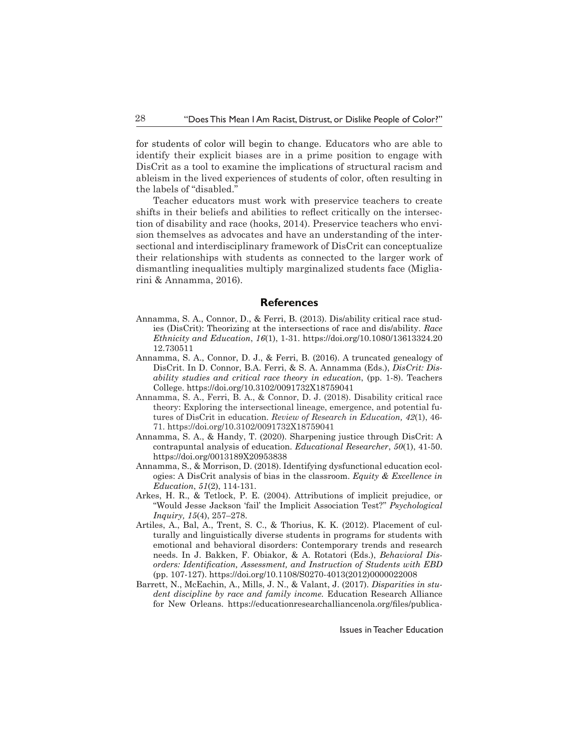for students of color will begin to change. Educators who are able to identify their explicit biases are in a prime position to engage with DisCrit as a tool to examine the implications of structural racism and ableism in the lived experiences of students of color, often resulting in the labels of "disabled."

Teacher educators must work with preservice teachers to create shifts in their beliefs and abilities to reflect critically on the intersection of disability and race (hooks, 2014). Preservice teachers who envision themselves as advocates and have an understanding of the intersectional and interdisciplinary framework of DisCrit can conceptualize their relationships with students as connected to the larger work of dismantling inequalities multiply marginalized students face (Migliarini & Annamma, 2016).

#### **References**

- Annamma, S. A., Connor, D., & Ferri, B. (2013). Dis/ability critical race studies (DisCrit): Theorizing at the intersections of race and dis/ability. *Race Ethnicity and Education*, *16*(1), 1-31. https://doi.org/10.1080/13613324.20 12.730511
- Annamma, S. A., Connor, D. J., & Ferri, B. (2016). A truncated genealogy of DisCrit. In D. Connor, B.A. Ferri, & S. A. Annamma (Eds.), *DisCrit: Disability studies and critical race theory in education*, (pp. 1-8). Teachers College. https://doi.org/10.3102/0091732X18759041
- Annamma, S. A., Ferri, B. A., & Connor, D. J. (2018). Disability critical race theory: Exploring the intersectional lineage, emergence, and potential futures of DisCrit in education. *Review of Research in Education, 42*(1), 46- 71. https://doi.org/10.3102/0091732X18759041
- Annamma, S. A., & Handy, T. (2020). Sharpening justice through DisCrit: A contrapuntal analysis of education. *Educational Researcher*, *50*(1), 41-50. https://doi.org/0013189X20953838
- Annamma, S., & Morrison, D. (2018). Identifying dysfunctional education ecologies: A DisCrit analysis of bias in the classroom. *Equity & Excellence in Education*, *51*(2), 114-131.
- Arkes, H. R., & Tetlock, P. E. (2004). Attributions of implicit prejudice, or ''Would Jesse Jackson 'fail' the Implicit Association Test?'' *Psychological Inquiry, 15*(4), 257–278.
- Artiles, A., Bal, A., Trent, S. C., & Thorius, K. K. (2012). Placement of culturally and linguistically diverse students in programs for students with emotional and behavioral disorders: Contemporary trends and research needs. In J. Bakken, F. Obiakor, & A. Rotatori (Eds.), *Behavioral Disorders: Identification, Assessment, and Instruction of Students with EBD*  (pp. 107-127). https://doi.org/10.1108/S0270-4013(2012)0000022008
- Barrett, N., McEachin, A., Mills, J. N., & Valant, J. (2017). *Disparities in student discipline by race and family income.* Education Research Alliance for New Orleans. https://educationresearchalliancenola.org/files/publica-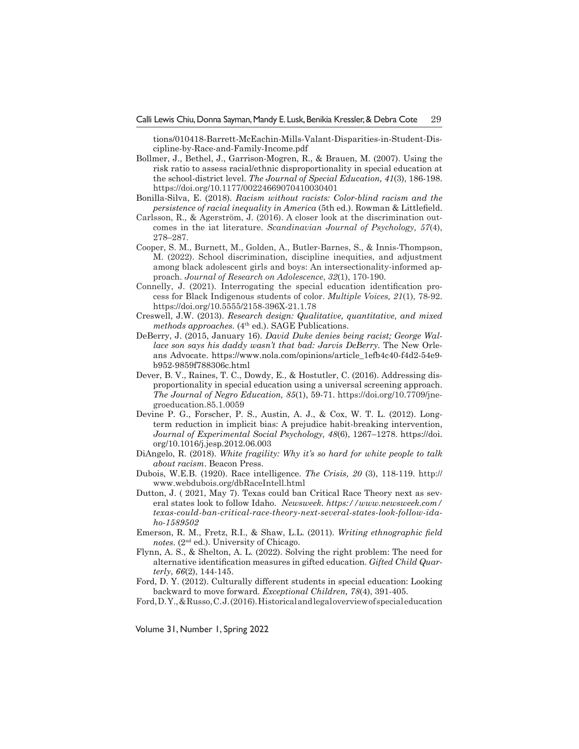tions/010418-Barrett-McEachin-Mills-Valant-Disparities-in-Student-Discipline-by-Race-and-Family-Income.pdf

- Bollmer, J., Bethel, J., Garrison-Mogren, R., & Brauen, M. (2007). Using the risk ratio to assess racial/ethnic disproportionality in special education at the school-district level. *The Journal of Special Education, 41*(3), 186-198. https://doi.org/10.1177/00224669070410030401
- Bonilla-Silva, E. (2018). *Racism without racists: Color-blind racism and the persistence of racial inequality in America* (5th ed.). Rowman & Littlefield.
- Carlsson, R., & Agerström, J. (2016). A closer look at the discrimination outcomes in the iat literature. *Scandinavian Journal of Psychology, 57*(4), 278–287.
- Cooper, S. M., Burnett, M., Golden, A., Butler-Barnes, S., & Innis-Thompson, M. (2022). School discrimination, discipline inequities, and adjustment among black adolescent girls and boys: An intersectionality-informed approach. *Journal of Research on Adolescence*, *32*(1), 170-190.
- Connelly, J. (2021). Interrogating the special education identification process for Black Indigenous students of color. *Multiple Voices, 21*(1), 78-92. https://doi.org/10.5555/2158-396X-21.1.78
- Creswell, J.W. (2013). *Research design: Qualitative, quantitative, and mixed methods approaches.* (4<sup>th</sup> ed.). SAGE Publications.
- DeBerry, J. (2015, January 16). *David Duke denies being racist; George Wallace son says his daddy wasn't that bad: Jarvis DeBerry.* The New Orleans Advocate. https://www.nola.com/opinions/article\_1efb4c40-f4d2-54e9 b952-9859f788306c.html
- Dever, B. V., Raines, T. C., Dowdy, E., & Hostutler, C. (2016). Addressing disproportionality in special education using a universal screening approach. *The Journal of Negro Education, 85*(1), 59-71. https://doi.org/10.7709/jnegroeducation.85.1.0059
- Devine P. G., Forscher, P. S., Austin, A. J., & Cox, W. T. L. (2012). Longterm reduction in implicit bias: A prejudice habit-breaking intervention, *Journal of Experimental Social Psychology, 48*(6), 1267–1278. https://doi. org/10.1016/j.jesp.2012.06.003
- DiAngelo, R. (2018). *White fragility: Why it's so hard for white people to talk about racism*. Beacon Press.
- Dubois, W.E.B. (1920). Race intelligence. *The Crisis, 20* (3), 118-119. http:// www.webdubois.org/dbRaceIntell.html
- Dutton, J. ( 2021, May 7). Texas could ban Critical Race Theory next as several states look to follow Idaho. *Newsweek. https://www.newsweek.com/ texas-could-ban-critical-race-theory-next-several-states-look-follow-idaho-1589502*
- Emerson, R. M., Fretz, R.I., & Shaw, L.L. (2011). *Writing ethnographic field notes*. (2nd ed.). University of Chicago.
- Flynn, A. S., & Shelton, A. L. (2022). Solving the right problem: The need for alternative identification measures in gifted education. *Gifted Child Quarterly*, *66*(2), 144-145.
- Ford, D. Y. (2012). Culturally different students in special education: Looking backward to move forward. *Exceptional Children, 78*(4), 391-405.
- Ford, D. Y., & Russo, C. J. (2016). Historical and legal overview of special education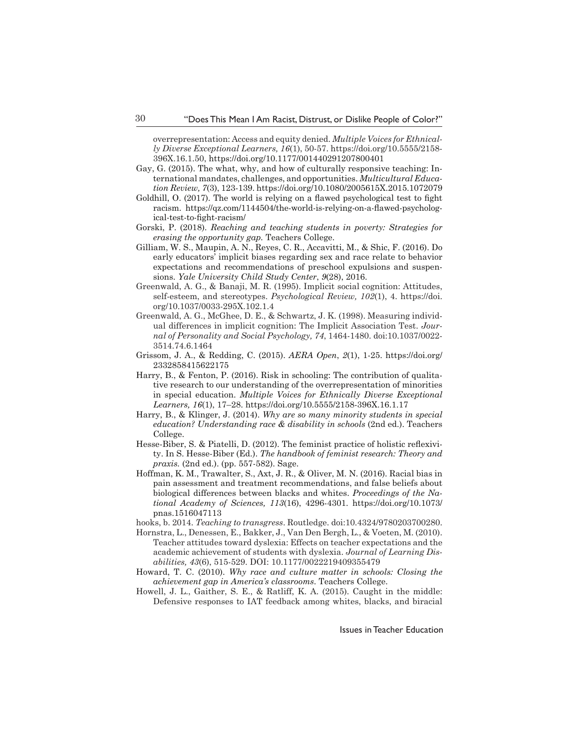overrepresentation: Access and equity denied. *Multiple Voices for Ethnically Diverse Exceptional Learners, 16*(1), 50-57. https://doi.org/10.5555/2158- 396X.16.1.50, https://doi.org/10.1177/001440291207800401

- Gay, G. (2015). The what, why, and how of culturally responsive teaching: International mandates, challenges, and opportunities. *Multicultural Education Review, 7*(3), 123-139. https://doi.org/10.1080/2005615X.2015.1072079
- Goldhill, O. (2017). The world is relying on a flawed psychological test to fight racism. https://qz.com/1144504/the-world-is-relying-on-a-flawed-psychological-test-to-fight-racism/
- Gorski, P. (2018). *Reaching and teaching students in poverty: Strategies for erasing the opportunity gap.* Teachers College.
- Gilliam, W. S., Maupin, A. N., Reyes, C. R., Accavitti, M., & Shic, F. (2016). Do early educators' implicit biases regarding sex and race relate to behavior expectations and recommendations of preschool expulsions and suspensions. *Yale University Child Study Center*, *9*(28), 2016.
- Greenwald, A. G., & Banaji, M. R. (1995). Implicit social cognition: Attitudes, self-esteem, and stereotypes. *Psychological Review, 102*(1), 4. https://doi. org/10.1037/0033-295X.102.1.4
- Greenwald, A. G., McGhee, D. E., & Schwartz, J. K. (1998). Measuring individual differences in implicit cognition: The Implicit Association Test. *Journal of Personality and Social Psychology, 74*, 1464-1480. doi:10.1037/0022- 3514.74.6.1464
- Grissom, J. A., & Redding, C. (2015). *AERA Open*, *2*(1), 1-25. https://doi.org/ 2332858415622175
- Harry, B., & Fenton, P. (2016). Risk in schooling: The contribution of qualitative research to our understanding of the overrepresentation of minorities in special education. *Multiple Voices for Ethnically Diverse Exceptional Learners, 16*(1), 17–28. https://doi.org/10.5555/2158-396X.16.1.17
- Harry, B., & Klinger, J. (2014). *Why are so many minority students in special education? Understanding race & disability in schools (2nd ed.). Teachers* College.
- Hesse-Biber, S. & Piatelli, D. (2012). The feminist practice of holistic reflexivity. In S. Hesse-Biber (Ed.). *The handbook of feminist research: Theory and praxis.* (2nd ed.). (pp. 557-582). Sage.
- Hoffman, K. M., Trawalter, S., Axt, J. R., & Oliver, M. N. (2016). Racial bias in pain assessment and treatment recommendations, and false beliefs about biological differences between blacks and whites. *Proceedings of the National Academy of Sciences, 113*(16), 4296-4301. https://doi.org/10.1073/ pnas.1516047113
- hooks, b. 2014. *Teaching to transgress*. Routledge. doi:10.4324/9780203700280.
- Hornstra, L., Denessen, E., Bakker, J., Van Den Bergh, L., & Voeten, M. (2010). Teacher attitudes toward dyslexia: Effects on teacher expectations and the academic achievement of students with dyslexia. *Journal of Learning Disabilities, 43*(6), 515-529. DOI: 10.1177/0022219409355479
- Howard, T. C. (2010). *Why race and culture matter in schools: Closing the achievement gap in America's classrooms*. Teachers College.
- Howell, J. L., Gaither, S. E., & Ratliff, K. A. (2015). Caught in the middle: Defensive responses to IAT feedback among whites, blacks, and biracial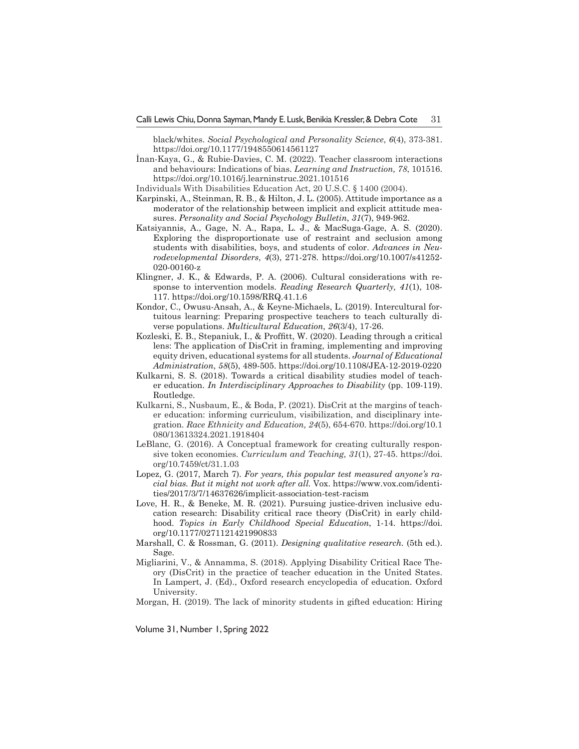black/whites. *Social Psychological and Personality Science*, *6*(4), 373-381. https://doi.org/10.1177/1948550614561127

İnan-Kaya, G., & Rubie-Davies, C. M. (2022). Teacher classroom interactions and behaviours: Indications of bias. *Learning and Instruction, 78*, 101516. https://doi.org/10.1016/j.learninstruc.2021.101516

Individuals With Disabilities Education Act, 20 U.S.C. § 1400 (2004).

- Karpinski, A., Steinman, R. B., & Hilton, J. L. (2005). Attitude importance as a moderator of the relationship between implicit and explicit attitude measures. *Personality and Social Psychology Bulletin*, *31*(7), 949-962.
- Katsiyannis, A., Gage, N. A., Rapa, L. J., & MacSuga-Gage, A. S. (2020). Exploring the disproportionate use of restraint and seclusion among students with disabilities, boys, and students of color. *Advances in Neurodevelopmental Disorders*, *4*(3), 271-278. https://doi.org/10.1007/s41252- 020-00160-z
- Klingner, J. K., & Edwards, P. A. (2006). Cultural considerations with response to intervention models. *Reading Research Quarterly, 41*(1), 108- 117. https://doi.org/10.1598/RRQ.41.1.6
- Kondor, C., Owusu-Ansah, A., & Keyne-Michaels, L. (2019). Intercultural fortuitous learning: Preparing prospective teachers to teach culturally diverse populations. *Multicultural Education, 26*(3/4), 17-26.
- Kozleski, E. B., Stepaniuk, I., & Proffitt, W. (2020). Leading through a critical lens: The application of DisCrit in framing, implementing and improving equity driven, educational systems for all students. *Journal of Educational Administration*, *58*(5), 489-505. https://doi.org/10.1108/JEA-12-2019-0220
- Kulkarni, S. S. (2018). Towards a critical disability studies model of teacher education. *In Interdisciplinary Approaches to Disability* (pp. 109-119). Routledge.
- Kulkarni, S., Nusbaum, E., & Boda, P. (2021). DisCrit at the margins of teacher education: informing curriculum, visibilization, and disciplinary integration. *Race Ethnicity and Education, 24*(5), 654-670. https://doi.org/10.1 080/13613324.2021.1918404
- LeBlanc, G. (2016). A Conceptual framework for creating culturally responsive token economies. *Curriculum and Teaching, 31*(1), 27-45. https://doi. org/10.7459/ct/31.1.03
- Lopez, G. (2017, March 7). *For years, this popular test measured anyone's racial bias. But it might not work after all.* Vox. https://www.vox.com/identities/2017/3/7/14637626/implicit-association-test-racism
- Love, H. R., & Beneke, M. R. (2021). Pursuing justice-driven inclusive education research: Disability critical race theory (DisCrit) in early childhood. *Topics in Early Childhood Special Education*, 1-14. https://doi. org/10.1177/0271121421990833
- Marshall, C. & Rossman, G. (2011). *Designing qualitative research.* (5th ed.). Sage.
- Migliarini, V., & Annamma, S. (2018). Applying Disability Critical Race Theory (DisCrit) in the practice of teacher education in the United States. In Lampert, J. (Ed)., Oxford research encyclopedia of education. Oxford University.
- Morgan, H. (2019). The lack of minority students in gifted education: Hiring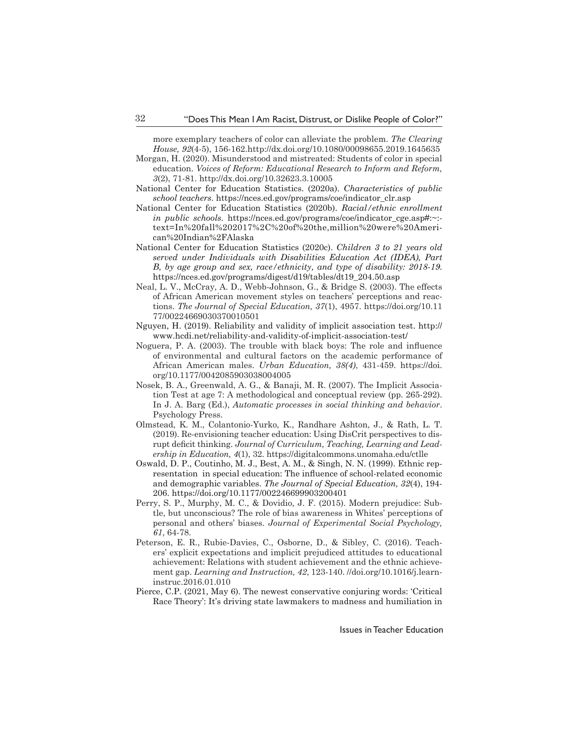more exemplary teachers of color can alleviate the problem. *The Clearing House, 92*(4-5), 156-162.http://dx.doi.org/10.1080/00098655.2019.1645635

- Morgan, H. (2020). Misunderstood and mistreated: Students of color in special education. *Voices of Reform: Educational Research to Inform and Reform, 3*(2), 71-81. http://dx.doi.org/10.32623.3.10005
- National Center for Education Statistics. (2020a). *Characteristics of public school teachers*. https://nces.ed.gov/programs/coe/indicator\_clr.asp
- National Center for Education Statistics (2020b). *Racial/ethnic enrollment in public schools.* https://nces.ed.gov/programs/coe/indicator\_cge.asp#:~: text=In%20fall%202017%2C%20of%20the,million%20were%20American%20Indian%2FAlaska
- National Center for Education Statistics (2020c). *Children 3 to 21 years old served under Individuals with Disabilities Education Act (IDEA), Part B, by age group and sex, race/ethnicity, and type of disability: 2018-19*. https://nces.ed.gov/programs/digest/d19/tables/dt19\_204.50.asp
- Neal, L. V., McCray, A. D., Webb-Johnson, G., & Bridge S. (2003). The effects of African American movement styles on teachers' perceptions and reactions. *The Journal of Special Education, 37*(1), 4957. https://doi.org/10.11 77/00224669030370010501
- Nguyen, H. (2019). Reliability and validity of implicit association test. http:// www.hcdi.net/reliability-and-validity-of-implicit-association-test/
- Noguera, P. A. (2003). The trouble with black boys: The role and influence of environmental and cultural factors on the academic performance of African American males. *Urban Education, 38(4)*, 431-459. https://doi. org/10.1177/0042085903038004005
- Nosek, B. A., Greenwald, A. G., & Banaji, M. R. (2007). The Implicit Association Test at age 7: A methodological and conceptual review (pp. 265-292). In J. A. Barg (Ed.), *Automatic processes in social thinking and behavior*. Psychology Press.
- Olmstead, K. M., Colantonio-Yurko, K., Randhare Ashton, J., & Rath, L. T. (2019). Re-envisioning teacher education: Using DisCrit perspectives to disrupt deficit thinking. *Journal of Curriculum, Teaching, Learning and Leadership in Education, 4*(1), 32. https://digitalcommons.unomaha.edu/ctlle
- Oswald, D. P., Coutinho, M. J., Best, A. M., & Singh, N. N. (1999). Ethnic representation in special education: The influence of school-related economic and demographic variables. *The Journal of Special Education, 32*(4), 194- 206. https://doi.org/10.1177/002246699903200401
- Perry, S. P., Murphy, M. C., & Dovidio, J. F. (2015). Modern prejudice: Subtle, but unconscious? The role of bias awareness in Whites' perceptions of personal and others' biases. *Journal of Experimental Social Psychology, 61*, 64-78.
- Peterson, E. R., Rubie-Davies, C., Osborne, D., & Sibley, C. (2016). Teachers' explicit expectations and implicit prejudiced attitudes to educational achievement: Relations with student achievement and the ethnic achievement gap. *Learning and Instruction, 42*, 123-140. //doi.org/10.1016/j.learninstruc.2016.01.010
- Pierce, C.P. (2021, May 6). The newest conservative conjuring words: 'Critical Race Theory': It's driving state lawmakers to madness and humiliation in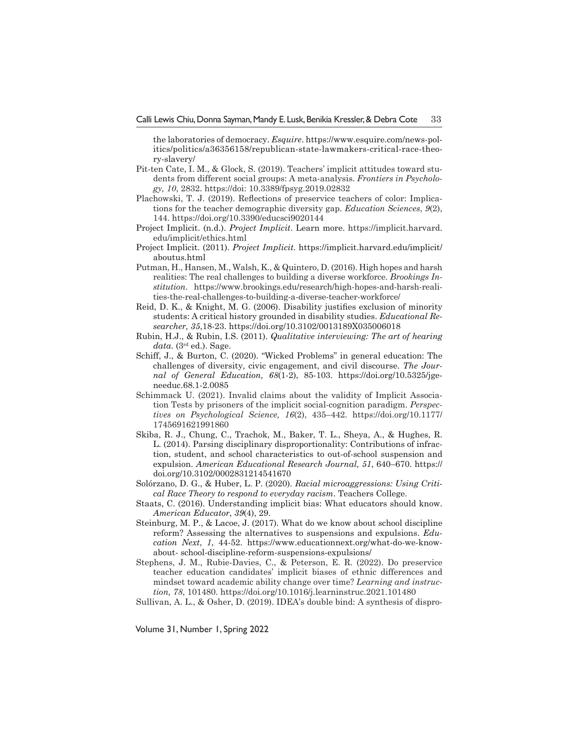the laboratories of democracy. *Esquire*. https://www.esquire.com/news-politics/politics/a36356158/republican-state-lawmakers-critical-race-theory-slavery/

- Pit-ten Cate, I. M., & Glock, S. (2019). Teachers' implicit attitudes toward students from different social groups: A meta-analysis. *Frontiers in Psychology, 10*, 2832. https://doi: 10.3389/fpsyg.2019.02832
- Plachowski, T. J. (2019). Reflections of preservice teachers of color: Implications for the teacher demographic diversity gap. *Education Sciences*, *9*(2), 144. https://doi.org/10.3390/educsci9020144
- Project Implicit. (n.d.). *Project Implicit*. Learn more. https://implicit.harvard. edu/implicit/ethics.html
- Project Implicit. (2011). *Project Implicit.* https://implicit.harvard.edu/implicit/ aboutus.html
- Putman, H., Hansen, M., Walsh, K., & Quintero, D. (2016). High hopes and harsh realities: The real challenges to building a diverse workforce. *Brookings Institution*. https://www.brookings.edu/research/high-hopes-and-harsh-realities-the-real-challenges-to-building-a-diverse-teacher-workforce/
- Reid, D. K., & Knight, M. G. (2006). Disability justifies exclusion of minority students: A critical history grounded in disability studies. *Educational Researcher, 35*,18-23. https://doi.org/10.3102/0013189X035006018
- Rubin, H.J., & Rubin, I.S. (2011). *Qualitative interviewing: The art of hearing*   $data$ . ( $3<sup>rd</sup>$  ed.). Sage.
- Schiff, J., & Burton, C. (2020). "Wicked Problems" in general education: The challenges of diversity, civic engagement, and civil discourse. *The Journal of General Education, 68*(1-2), 85-103. https://doi.org/10.5325/jgeneeduc.68.1-2.0085
- Schimmack U. (2021). Invalid claims about the validity of Implicit Association Tests by prisoners of the implicit social-cognition paradigm. *Perspectives on Psychological Science, 16*(2), 435–442. https://doi.org/10.1177/ 1745691621991860
- Skiba, R. J., Chung, C., Trachok, M., Baker, T. L., Sheya, A., & Hughes, R. L. (2014). Parsing disciplinary disproportionality: Contributions of infraction, student, and school characteristics to out-of-school suspension and expulsion. *American Educational Research Journal, 51*, 640–670. https:// doi.org/10.3102/0002831214541670
- Solórzano, D. G., & Huber, L. P. (2020). *Racial microaggressions: Using Critical Race Theory to respond to everyday racism*. Teachers College.
- Staats, C. (2016). Understanding implicit bias: What educators should know. *American Educator*, *39*(4), 29.
- Steinburg, M. P., & Lacoe, J. (2017). What do we know about school discipline reform? Assessing the alternatives to suspensions and expulsions. *Education Next*, *1*, 44-52. https://www.educationnext.org/what-do-we-knowabout- school-discipline-reform-suspensions-expulsions/
- Stephens, J. M., Rubie-Davies, C., & Peterson, E. R. (2022). Do preservice teacher education candidates' implicit biases of ethnic differences and mindset toward academic ability change over time? *Learning and instruction, 78*, 101480. https://doi.org/10.1016/j.learninstruc.2021.101480
- Sullivan, A. L., & Osher, D. (2019). IDEA's double bind: A synthesis of dispro-